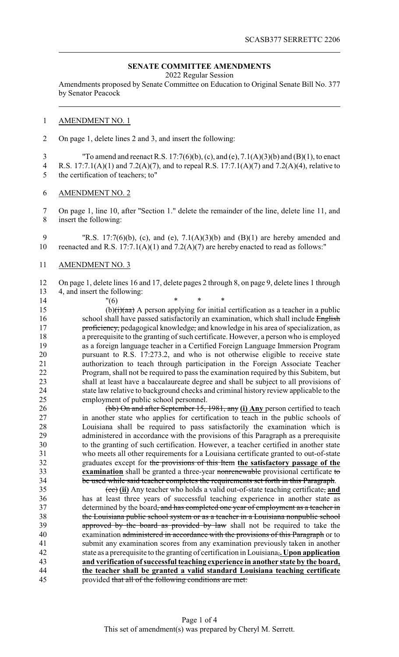## **SENATE COMMITTEE AMENDMENTS**

2022 Regular Session

Amendments proposed by Senate Committee on Education to Original Senate Bill No. 377 by Senator Peacock

## AMENDMENT NO. 1

On page 1, delete lines 2 and 3, and insert the following:

 "To amend and reenact R.S. 17:7(6)(b), (c), and (e), 7.1(A)(3)(b) and (B)(1), to enact R.S. 17:7.1(A)(1) and 7.2(A)(7), and to repeal R.S. 17:7.1(A)(7) and 7.2(A)(4), relative to the certification of teachers; to"

AMENDMENT NO. 2

 On page 1, line 10, after "Section 1." delete the remainder of the line, delete line 11, and insert the following:

 "R.S. 17:7(6)(b), (c), and (e), 7.1(A)(3)(b) and (B)(1) are hereby amended and 10 reenacted and R.S.  $17:7.1(A)(1)$  and  $7.2(A)(7)$  are hereby enacted to read as follows:"

AMENDMENT NO. 3

 On page 1, delete lines 16 and 17, delete pages 2 through 8, on page 9, delete lines 1 through 4, and insert the following:

14 "(6) \* \* \* 15 (b) $\left(\frac{1}{1}\right)$  (aa) A person applying for initial certification as a teacher in a public 16 school shall have passed satisfactorily an examination, which shall include English **proficiency**, pedagogical knowledge, and knowledge in his area of specialization, as a prerequisite to the granting of such certificate. However, a person who is employed as a foreign language teacher in a Certified Foreign Language Immersion Program pursuant to R.S. 17:273.2, and who is not otherwise eligible to receive state authorization to teach through participation in the Foreign Associate Teacher Program, shall not be required to pass the examination required by this Subitem, but shall at least have a baccalaureate degree and shall be subject to all provisions of 24 state law relative to background checks and criminal history review applicable to the<br>25 employment of public school personnel. employment of public school personnel.

 (bb) On and after September 15, 1981, any **(i) Any** person certified to teach in another state who applies for certification to teach in the public schools of Louisiana shall be required to pass satisfactorily the examination which is administered in accordance with the provisions of this Paragraph as a prerequisite to the granting of such certification. However, a teacher certified in another state who meets all other requirements for a Louisiana certificate granted to out-of-state graduates except for the provisions of this Item **the satisfactory passage of the examination** shall be granted a three-year nonrenewable provisional certificate to be used while said teacher completes the requirements set forth in this Paragraph.

 (cc) **(ii)** Any teacher who holds a valid out-of-state teaching certificate, **and** has at least three years of successful teaching experience in another state as 37 determined by the board<del>, and has completed one year of employment as a teacher in</del> the Louisiana public school system or as a teacher in a Louisiana nonpublic school 39 approved by the board as provided by law shall not be required to take the examination administered in accordance with the provisions of this Paragraph or to submit any examination scores from any examination previously taken in another state as a prerequisite to the granting of certification in Louisiana,**. Upon application and verification ofsuccessful teaching experience in another state by the board, the teacher shall be granted a valid standard Louisiana teaching certificate** provided that all of the following conditions are met: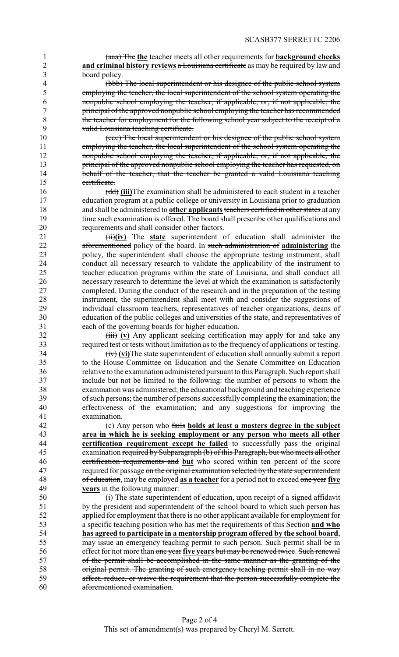(aaa) The **the** teacher meets all other requirements for **background checks and criminal history reviews** a Louisiana certificate as may be required by law and board policy.

 (bbb) The local superintendent or his designee of the public school system employing the teacher, the local superintendent of the school system operating the nonpublic school employing the teacher, if applicable, or, if not applicable, the principal of the approved nonpublic school employing the teacher has recommended 8 the teacher for employment for the following school year subject to the receipt of a<br>9 valid Louisiana teaching certificate valid Louisiana teaching certificate.

 (ccc) The local superintendent or his designee of the public school system employing the teacher, the local superintendent of the school system operating the **nonpublic school employing the teacher, if applicable, or, if not applicable, the** 13 principal of the approved nonpublic school employing the teacher has requested, on 14 behalf of the teacher, that the teacher be granted a valid Louisiana teaching certificate.

 (dd) **(iii)**The examination shall be administered to each student in a teacher education program at a public college or university in Louisiana prior to graduation and shall be administered to **other applicants**teachers certified in other states at any 19 time such examination is offered. The board shall prescribe other qualifications and requirements and shall consider other factors.

21 (ii)(iv) The state superintendent of education shall administer the aforementioned policy of the board. In such administration of **administering** the policy, the superintendent shall choose the appropriate testing instrument, shall 24 conduct all necessary research to validate the applicability of the instrument to teacher education programs within the state of Louisiana, and shall conduct all teacher education programs within the state of Louisiana, and shall conduct all necessary research to determine the level at which the examination is satisfactorily completed. During the conduct of the research and in the preparation of the testing instrument, the superintendent shall meet with and consider the suggestions of individual classroom teachers, representatives of teacher organizations, deans of education of the public colleges and universities of the state, and representatives of each of the governing boards for higher education.

32 (iii) **(v)** Any applicant seeking certification may apply for and take any required test or tests without limitation as to the frequency of applications or testing.

 (iv) **(vi)**The state superintendent of education shall annually submit a report 35 to the House Committee on Education and the Senate Committee on Education<br>36 to the examination administered pursuant to this Paragraph. Such report shall relative to the examination administered pursuant to this Paragraph. Such report shall include but not be limited to the following: the number of persons to whom the examination was administered; the educational background and teaching experience of such persons; the number of persons successfullycompleting the examination; the effectiveness of the examination; and any suggestions for improving the examination.

 (c) Any person who fails **holds at least a masters degree in the subject area in which he is seeking employment or any person who meets all other certification requirement except he failed** to successfully pass the original examination required by Subparagraph (b) of this Paragraph. but who meets all other examination required by Subparagraph (b) of this Paragraph, but who meets all other certification requirements and **but** who scored within ten percent of the score 47 required for passage on the original examination selected by the state superintendent of education, may be employed **as a teacher** for a period not to exceed one year **five years** in the following manner:

 (i) The state superintendent of education, upon receipt of a signed affidavit by the president and superintendent of the school board to which such person has applied for employment that there is no other applicant available for employment for a specific teaching position who has met the requirements of this Section **and who has agreed to participate in a mentorship program offered by the school board**, may issue an emergency teaching permit to such person. Such permit shall be in effect for not more than one year **five years** but may be renewed twice. Such renewal of the permit shall be accomplished in the same manner as the granting of the original permit. The granting of such emergency teaching permit shall in no way affect, reduce, or waive the requirement that the person successfully complete the aforementioned examination.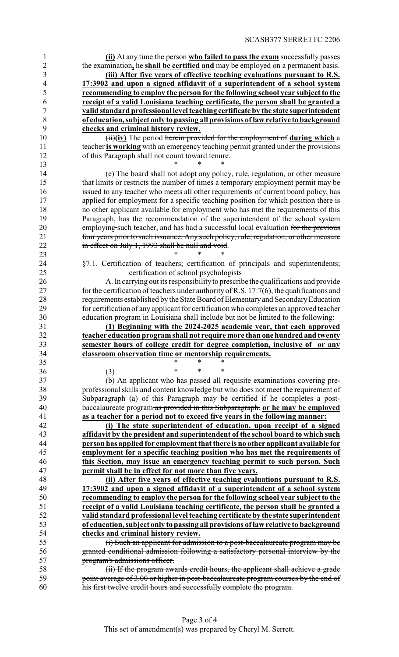**(ii)** At any time the person **who failed to pass the exam** successfully passes the examination**,** he **shall be certified and** may be employed on a permanent basis. **(iii) After five years of effective teaching evaluations pursuant to R.S. 17:3902 and upon a signed affidavit of a superintendent of a school system recommending to employ the person for the following school year subject to the**

 **receipt of a valid Louisiana teaching certificate, the person shall be granted a valid standard professional level teaching certificate by the state superintendent of education, subject only to passing all provisions of law relative to background checks and criminal history review.**

 (ii)**(iv)** The period herein provided for the employment of **during which** a 11 teacher **is working** with an emergency teaching permit granted under the provisions of this Paragraph shall not count toward tenure.

 (e) The board shall not adopt any policy, rule, regulation, or other measure that limits or restricts the number of times a temporary employment permit may be issued to any teacher who meets all other requirements of current board policy, has 17 applied for employment for a specific teaching position for which position there is no other applicant available for employment who has met the requirements of this Paragraph, has the recommendation of the superintendent of the school system 20 employing such teacher, and has had a successful local evaluation for the previous four years prior to such issuance. Any such policy, rule, regulation, or other measure 22 in effect on July 1, 1993 shall be null and void.

24 §7.1. Certification of teachers; certification of principals and superintendents;<br>25 certification of school psychologists certification of school psychologists

 A. In carrying out its responsibilityto prescribe the qualifications and provide 27 for the certification of teachers under authority of R.S. 17:7(6), the qualifications and requirements established by the State Board of Elementary and SecondaryEducation for certification of any applicant for certification who completes an approved teacher education program in Louisiana shall include but not be limited to the following:

 **(1) Beginning with the 2024-2025 academic year, that each approved teacher education programshall not require more than onehundredandtwenty semester hours of college credit for degree completion, inclusive of or any classroom observation time or mentorship requirements.**<br>35

35 \* \* \* \* (3) \* \* \*

\* \* \*

**\*** \* \* \*

 (b) An applicant who has passed all requisite examinations covering pre- professional skills and content knowledge but who does not meet the requirement of Subparagraph (a) of this Paragraph may be certified if he completes a post- baccalaureate program as provided in this Subparagraph. **or he may be employed as a teacher for a period not to exceed five years in the following manner:**

 **(i) The state superintendent of education, upon receipt of a signed affidavit by the president and superintendent of the school board to which such person has applied for employment that there is no other applicant available for** employment for a specific teaching position who has met the requirements of **this Section, may issue an emergency teaching permit to such person. Such permit shall be in effect for not more than five years.**

 **(ii) After five years of effective teaching evaluations pursuant to R.S. 17:3902 and upon a signed affidavit of a superintendent of a school system recommending to employ the person for the following school year subject to the receipt of a valid Louisiana teaching certificate, the person shall be granted a valid standard professional level teaching certificateby the state superintendent of education, subject only to passing all provisions oflaw relative to background checks and criminal history review.**

 (i) Such an applicant for admission to a post-baccalaureate program may be granted conditional admission following a satisfactory personal interview by the program's admissions officer.

 (ii) If the program awards credit hours, the applicant shall achieve a grade 59 point average of 3.00 or higher in post-baccalaureate program courses by the end of his first twelve credit hours and successfully complete the program.